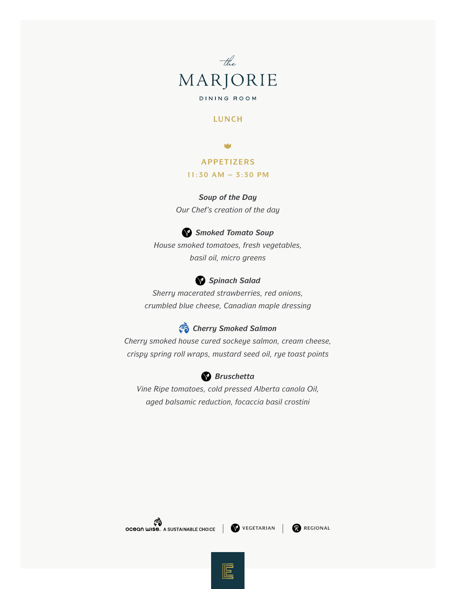

## **LUNCH**

# **APPETIZERS**

#### **11:30 AM – 3:30 PM**

### *Soup of the Day*

*Our Chef's creation of the day* 

## *Smoked Tomato Soup*

*House smoked tomatoes, fresh vegetables, basil oil, micro greens* 



*Sherry macerated strawberries, red onions, crumbled blue cheese, Canadian maple dressing* 

# *Cherry Smoked Salmon*

*Cherry smoked house cured sockeye salmon, cream cheese, crispy spring roll wraps, mustard seed oil, rye toast points* 



*Vine Ripe tomatoes, cold pressed Alberta canola Oil, aged balsamic reduction, focaccia basil crostini*



巨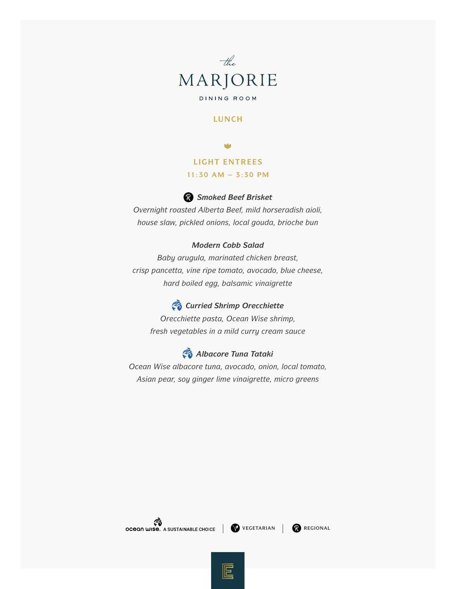

## **LUNCH**

**LIGHT ENTREES**

#### **11:30 AM – 3:30 PM**

# *Smoked Beef Brisket*

*Overnight roasted Alberta Beef, mild horseradish aioli, house slaw, pickled onions, local gouda, brioche bun* 

### *Modern Cobb Salad*

*Baby arugula, marinated chicken breast, crisp pancetta, vine ripe tomato, avocado, blue cheese, hard boiled egg, balsamic vinaigrette*

# *Curried Shrimp Orecchiette*

*Orecchiette pasta, Ocean Wise shrimp, fresh vegetables in a mild curry cream sauce*

# *Albacore Tuna Tataki*

*Ocean Wise albacore tuna, avocado, onion, local tomato, Asian pear, soy ginger lime vinaigrette, micro greens*